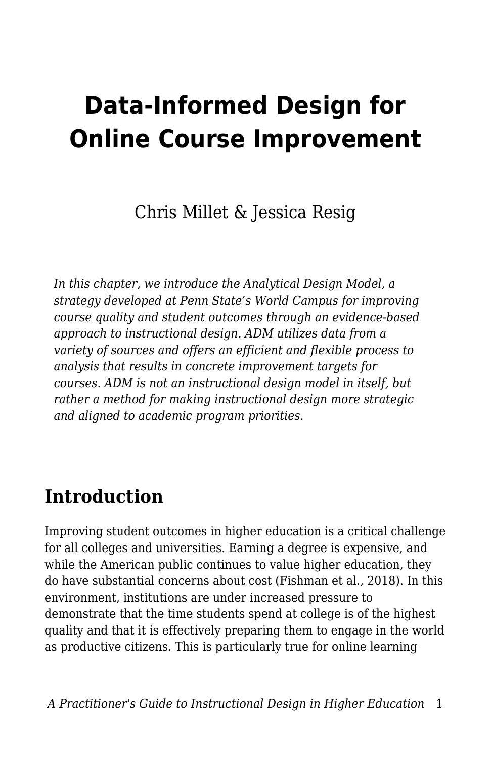# **Data-Informed Design for Online Course Improvement**

Chris Millet & Jessica Resig

*In this chapter, we introduce the Analytical Design Model, a strategy developed at Penn State's World Campus for improving course quality and student outcomes through an evidence-based approach to instructional design. ADM utilizes data from a variety of sources and offers an efficient and flexible process to analysis that results in concrete improvement targets for courses. ADM is not an instructional design model in itself, but rather a method for making instructional design more strategic and aligned to academic program priorities.*

# **Introduction**

Improving student outcomes in higher education is a critical challenge for all colleges and universities. Earning a degree is expensive, and while the American public continues to value higher education, they do have substantial concerns about cost (Fishman et al., 2018). In this environment, institutions are under increased pressure to demonstrate that the time students spend at college is of the highest quality and that it is effectively preparing them to engage in the world as productive citizens. This is particularly true for online learning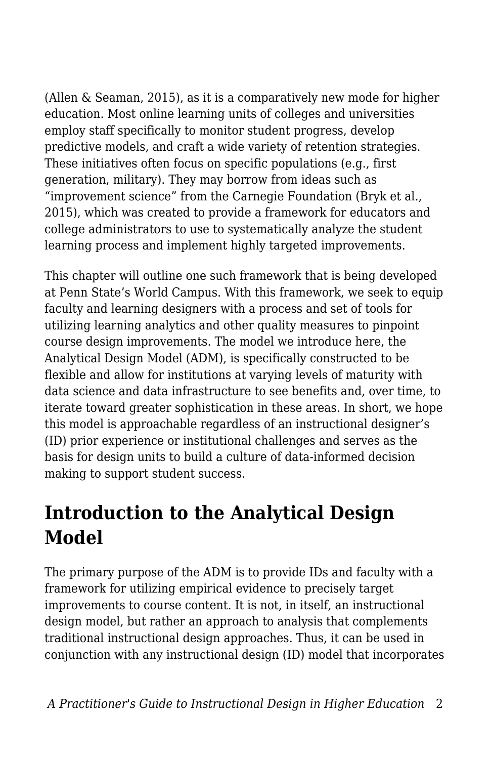(Allen & Seaman, 2015), as it is a comparatively new mode for higher education. Most online learning units of colleges and universities employ staff specifically to monitor student progress, develop predictive models, and craft a wide variety of retention strategies. These initiatives often focus on specific populations (e.g., first generation, military). They may borrow from ideas such as "improvement science" from the Carnegie Foundation (Bryk et al., 2015), which was created to provide a framework for educators and college administrators to use to systematically analyze the student learning process and implement highly targeted improvements.

This chapter will outline one such framework that is being developed at Penn State's World Campus. With this framework, we seek to equip faculty and learning designers with a process and set of tools for utilizing learning analytics and other quality measures to pinpoint course design improvements. The model we introduce here, the Analytical Design Model (ADM), is specifically constructed to be flexible and allow for institutions at varying levels of maturity with data science and data infrastructure to see benefits and, over time, to iterate toward greater sophistication in these areas. In short, we hope this model is approachable regardless of an instructional designer's (ID) prior experience or institutional challenges and serves as the basis for design units to build a culture of data-informed decision making to support student success.

# **Introduction to the Analytical Design Model**

The primary purpose of the ADM is to provide IDs and faculty with a framework for utilizing empirical evidence to precisely target improvements to course content. It is not, in itself, an instructional design model, but rather an approach to analysis that complements traditional instructional design approaches. Thus, it can be used in conjunction with any instructional design (ID) model that incorporates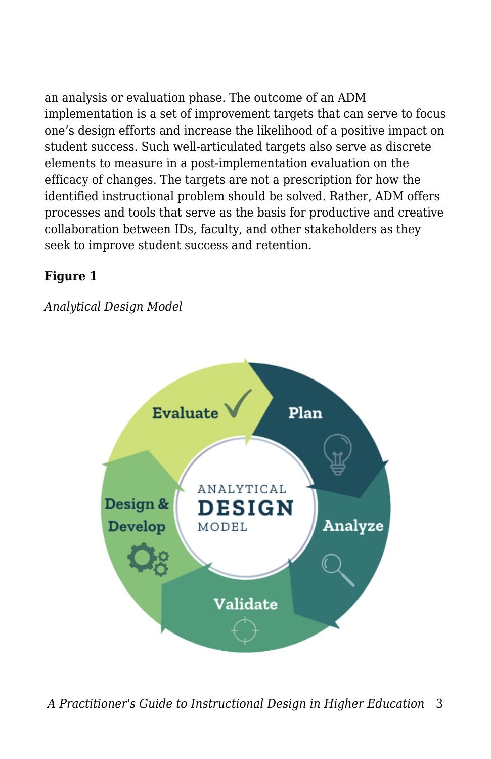an analysis or evaluation phase. The outcome of an ADM implementation is a set of improvement targets that can serve to focus one's design efforts and increase the likelihood of a positive impact on student success. Such well-articulated targets also serve as discrete elements to measure in a post-implementation evaluation on the efficacy of changes. The targets are not a prescription for how the identified instructional problem should be solved. Rather, ADM offers processes and tools that serve as the basis for productive and creative collaboration between IDs, faculty, and other stakeholders as they seek to improve student success and retention.

### **Figure 1**

### *Analytical Design Model*

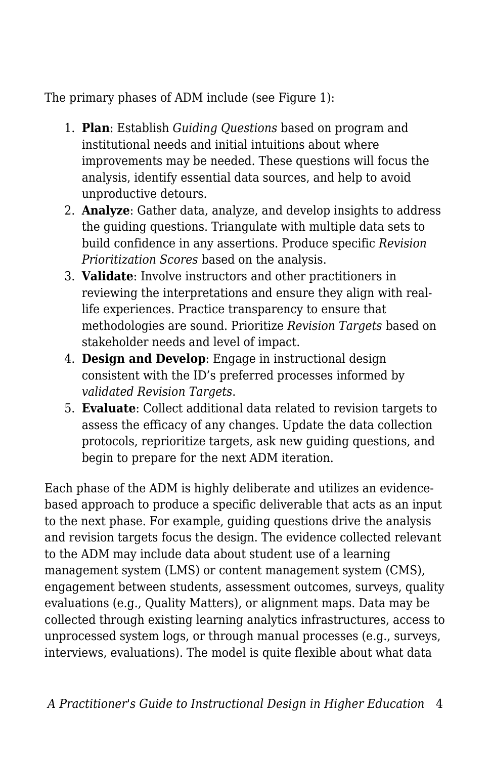The primary phases of ADM include (see Figure 1):

- 1. **Plan**: Establish *Guiding Questions* based on program and institutional needs and initial intuitions about where improvements may be needed. These questions will focus the analysis, identify essential data sources, and help to avoid unproductive detours.
- 2. **Analyze**: Gather data, analyze, and develop insights to address the guiding questions. Triangulate with multiple data sets to build confidence in any assertions. Produce specific *Revision Prioritization Scores* based on the analysis.
- 3. **Validate**: Involve instructors and other practitioners in reviewing the interpretations and ensure they align with reallife experiences. Practice transparency to ensure that methodologies are sound. Prioritize *Revision Targets* based on stakeholder needs and level of impact.
- 4. **Design and Develop**: Engage in instructional design consistent with the ID's preferred processes informed by *validated Revision Targets*.
- 5. **Evaluate**: Collect additional data related to revision targets to assess the efficacy of any changes. Update the data collection protocols, reprioritize targets, ask new guiding questions, and begin to prepare for the next ADM iteration.

Each phase of the ADM is highly deliberate and utilizes an evidencebased approach to produce a specific deliverable that acts as an input to the next phase. For example, guiding questions drive the analysis and revision targets focus the design. The evidence collected relevant to the ADM may include data about student use of a learning management system (LMS) or content management system (CMS), engagement between students, assessment outcomes, surveys, quality evaluations (e.g., Quality Matters), or alignment maps. Data may be collected through existing learning analytics infrastructures, access to unprocessed system logs, or through manual processes (e.g., surveys, interviews, evaluations). The model is quite flexible about what data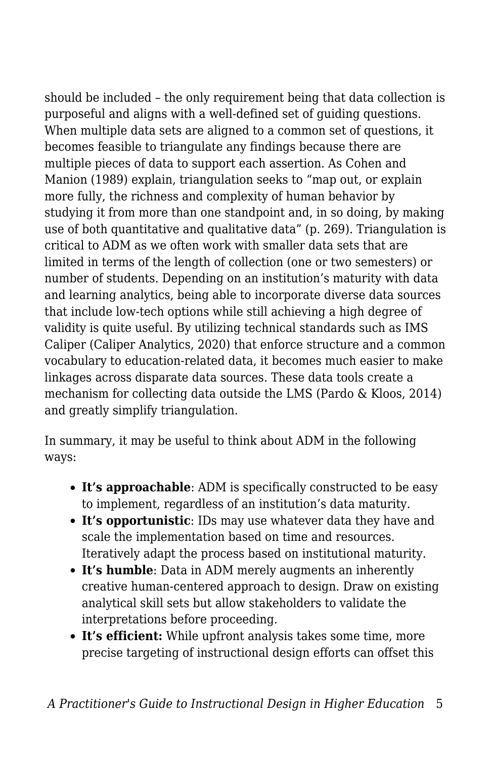should be included – the only requirement being that data collection is purposeful and aligns with a well-defined set of guiding questions. When multiple data sets are aligned to a common set of questions, it becomes feasible to triangulate any findings because there are multiple pieces of data to support each assertion. As Cohen and Manion (1989) explain, triangulation seeks to "map out, or explain more fully, the richness and complexity of human behavior by studying it from more than one standpoint and, in so doing, by making use of both quantitative and qualitative data" (p. 269). Triangulation is critical to ADM as we often work with smaller data sets that are limited in terms of the length of collection (one or two semesters) or number of students. Depending on an institution's maturity with data and learning analytics, being able to incorporate diverse data sources that include low-tech options while still achieving a high degree of validity is quite useful. By utilizing technical standards such as IMS Caliper (Caliper Analytics, 2020) that enforce structure and a common vocabulary to education-related data, it becomes much easier to make linkages across disparate data sources. These data tools create a mechanism for collecting data outside the LMS (Pardo & Kloos, 2014) and greatly simplify triangulation.

In summary, it may be useful to think about ADM in the following ways:

- **It's approachable**: ADM is specifically constructed to be easy to implement, regardless of an institution's data maturity.
- **It's opportunistic**: IDs may use whatever data they have and scale the implementation based on time and resources. Iteratively adapt the process based on institutional maturity.
- **It's humble**: Data in ADM merely augments an inherently creative human-centered approach to design. Draw on existing analytical skill sets but allow stakeholders to validate the interpretations before proceeding.
- **It's efficient:** While upfront analysis takes some time, more precise targeting of instructional design efforts can offset this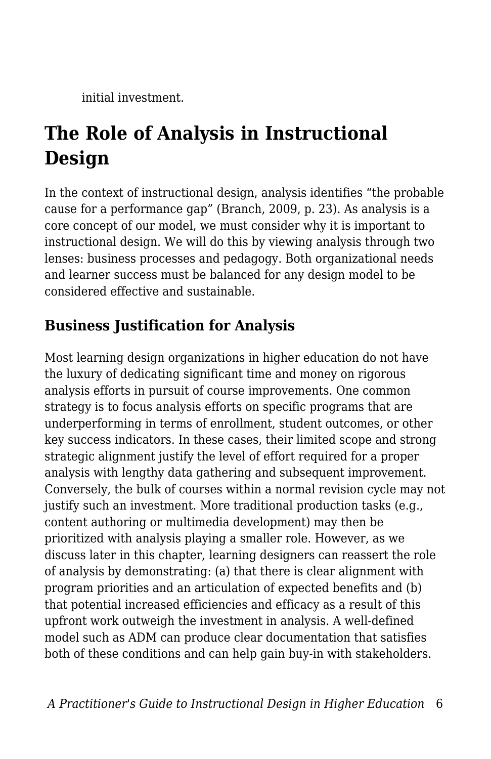initial investment.

# **The Role of Analysis in Instructional Design**

In the context of instructional design, analysis identifies "the probable cause for a performance gap" (Branch, 2009, p. 23). As analysis is a core concept of our model, we must consider why it is important to instructional design. We will do this by viewing analysis through two lenses: business processes and pedagogy. Both organizational needs and learner success must be balanced for any design model to be considered effective and sustainable.

# **Business Justification for Analysis**

Most learning design organizations in higher education do not have the luxury of dedicating significant time and money on rigorous analysis efforts in pursuit of course improvements. One common strategy is to focus analysis efforts on specific programs that are underperforming in terms of enrollment, student outcomes, or other key success indicators. In these cases, their limited scope and strong strategic alignment justify the level of effort required for a proper analysis with lengthy data gathering and subsequent improvement. Conversely, the bulk of courses within a normal revision cycle may not justify such an investment. More traditional production tasks (e.g., content authoring or multimedia development) may then be prioritized with analysis playing a smaller role. However, as we discuss later in this chapter, learning designers can reassert the role of analysis by demonstrating: (a) that there is clear alignment with program priorities and an articulation of expected benefits and (b) that potential increased efficiencies and efficacy as a result of this upfront work outweigh the investment in analysis. A well-defined model such as ADM can produce clear documentation that satisfies both of these conditions and can help gain buy-in with stakeholders.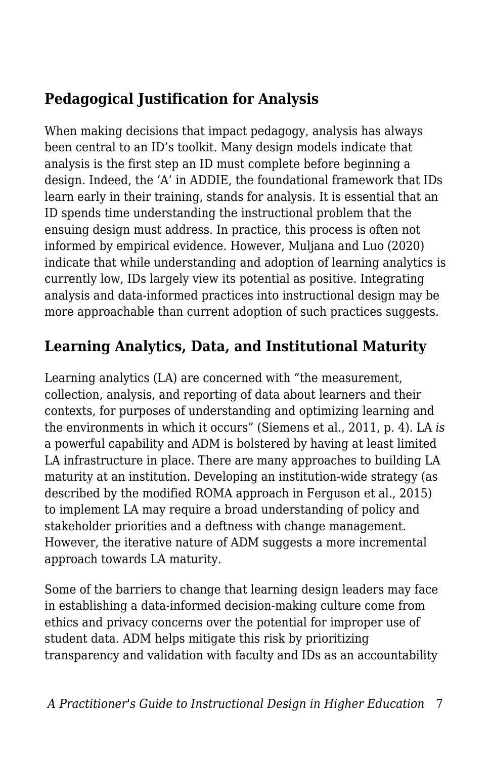# **Pedagogical Justification for Analysis**

When making decisions that impact pedagogy, analysis has always been central to an ID's toolkit. Many design models indicate that analysis is the first step an ID must complete before beginning a design. Indeed, the 'A' in ADDIE, the foundational framework that IDs learn early in their training, stands for analysis. It is essential that an ID spends time understanding the instructional problem that the ensuing design must address. In practice, this process is often not informed by empirical evidence. However, Muljana and Luo (2020) indicate that while understanding and adoption of learning analytics is currently low, IDs largely view its potential as positive. Integrating analysis and data-informed practices into instructional design may be more approachable than current adoption of such practices suggests.

# **Learning Analytics, Data, and Institutional Maturity**

Learning analytics (LA) are concerned with "the measurement, collection, analysis, and reporting of data about learners and their contexts, for purposes of understanding and optimizing learning and the environments in which it occurs" (Siemens et al., 2011, p. 4)*.* LA *is* a powerful capability and ADM is bolstered by having at least limited LA infrastructure in place. There are many approaches to building LA maturity at an institution. Developing an institution-wide strategy (as described by the modified ROMA approach in Ferguson et al., 2015) to implement LA may require a broad understanding of policy and stakeholder priorities and a deftness with change management. However, the iterative nature of ADM suggests a more incremental approach towards LA maturity.

Some of the barriers to change that learning design leaders may face in establishing a data-informed decision-making culture come from ethics and privacy concerns over the potential for improper use of student data. ADM helps mitigate this risk by prioritizing transparency and validation with faculty and IDs as an accountability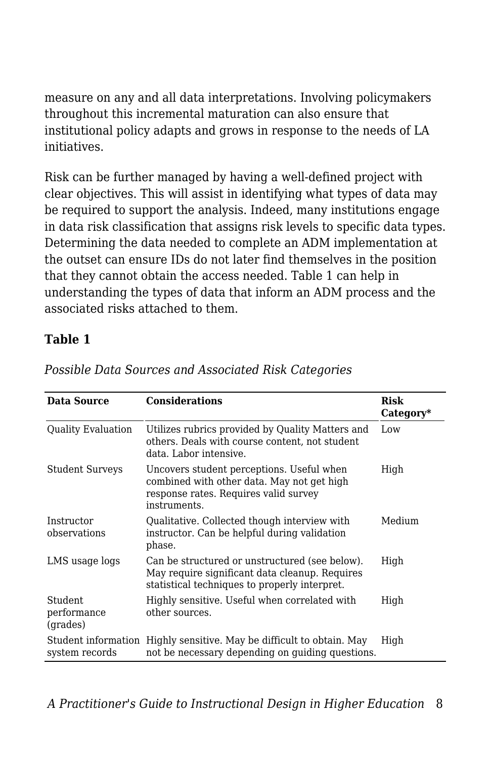measure on any and all data interpretations. Involving policymakers throughout this incremental maturation can also ensure that institutional policy adapts and grows in response to the needs of LA initiatives.

Risk can be further managed by having a well-defined project with clear objectives. This will assist in identifying what types of data may be required to support the analysis. Indeed, many institutions engage in data risk classification that assigns risk levels to specific data types. Determining the data needed to complete an ADM implementation at the outset can ensure IDs do not later find themselves in the position that they cannot obtain the access needed. Table 1 can help in understanding the types of data that inform an ADM process and the associated risks attached to them.

#### **Table 1**

| Data Source                           | <b>Considerations</b>                                                                                                                             | Risk<br>Category* |
|---------------------------------------|---------------------------------------------------------------------------------------------------------------------------------------------------|-------------------|
| <b>Quality Evaluation</b>             | Utilizes rubrics provided by Quality Matters and<br>others. Deals with course content, not student<br>data. Labor intensive.                      | Low               |
| <b>Student Surveys</b>                | Uncovers student perceptions. Useful when<br>combined with other data. May not get high<br>response rates. Requires valid survey<br>instruments.  | High              |
| Instructor<br>observations            | Qualitative. Collected though interview with<br>instructor. Can be helpful during validation<br>phase.                                            | Medium            |
| LMS usage logs                        | Can be structured or unstructured (see below).<br>May require significant data cleanup. Requires<br>statistical techniques to properly interpret. | High              |
| Student<br>performance<br>(grades)    | Highly sensitive. Useful when correlated with<br>other sources.                                                                                   | High              |
| Student information<br>system records | Highly sensitive. May be difficult to obtain. May<br>not be necessary depending on guiding questions.                                             | High              |

*Possible Data Sources and Associated Risk Categories*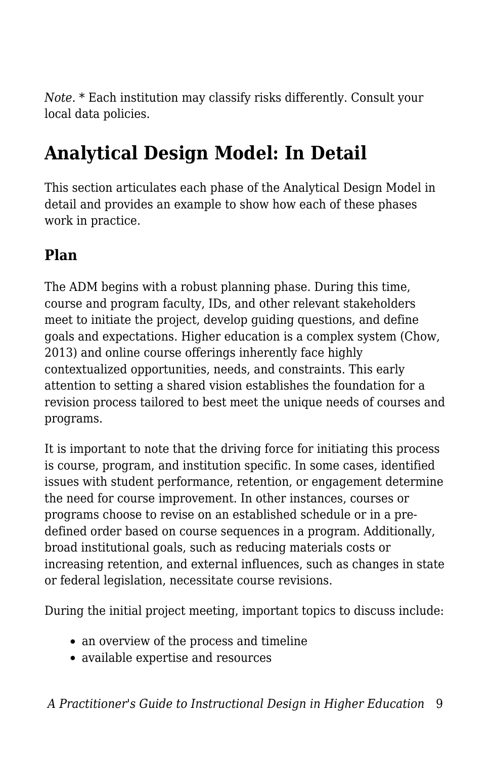*Note.* \* Each institution may classify risks differently. Consult your local data policies.

# **Analytical Design Model: In Detail**

This section articulates each phase of the Analytical Design Model in detail and provides an example to show how each of these phases work in practice.

# **Plan**

The ADM begins with a robust planning phase. During this time, course and program faculty, IDs, and other relevant stakeholders meet to initiate the project, develop guiding questions, and define goals and expectations. Higher education is a complex system (Chow, 2013) and online course offerings inherently face highly contextualized opportunities, needs, and constraints. This early attention to setting a shared vision establishes the foundation for a revision process tailored to best meet the unique needs of courses and programs.

It is important to note that the driving force for initiating this process is course, program, and institution specific. In some cases, identified issues with student performance, retention, or engagement determine the need for course improvement. In other instances, courses or programs choose to revise on an established schedule or in a predefined order based on course sequences in a program. Additionally, broad institutional goals, such as reducing materials costs or increasing retention, and external influences, such as changes in state or federal legislation, necessitate course revisions.

During the initial project meeting, important topics to discuss include:

- an overview of the process and timeline
- available expertise and resources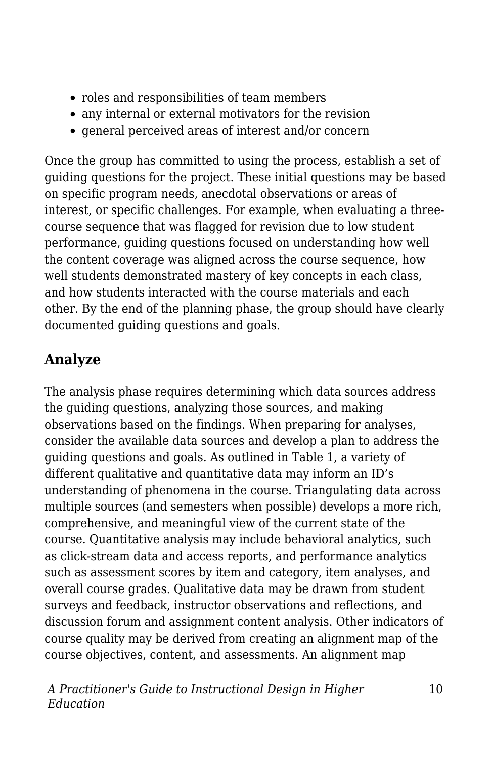- roles and responsibilities of team members
- any internal or external motivators for the revision
- general perceived areas of interest and/or concern

Once the group has committed to using the process, establish a set of guiding questions for the project. These initial questions may be based on specific program needs, anecdotal observations or areas of interest, or specific challenges. For example, when evaluating a threecourse sequence that was flagged for revision due to low student performance, guiding questions focused on understanding how well the content coverage was aligned across the course sequence, how well students demonstrated mastery of key concepts in each class, and how students interacted with the course materials and each other. By the end of the planning phase, the group should have clearly documented guiding questions and goals.

# **Analyze**

The analysis phase requires determining which data sources address the guiding questions, analyzing those sources, and making observations based on the findings. When preparing for analyses, consider the available data sources and develop a plan to address the guiding questions and goals. As outlined in Table 1, a variety of different qualitative and quantitative data may inform an ID's understanding of phenomena in the course. Triangulating data across multiple sources (and semesters when possible) develops a more rich, comprehensive, and meaningful view of the current state of the course. Quantitative analysis may include behavioral analytics, such as click-stream data and access reports, and performance analytics such as assessment scores by item and category, item analyses, and overall course grades. Qualitative data may be drawn from student surveys and feedback, instructor observations and reflections, and discussion forum and assignment content analysis. Other indicators of course quality may be derived from creating an alignment map of the course objectives, content, and assessments. An alignment map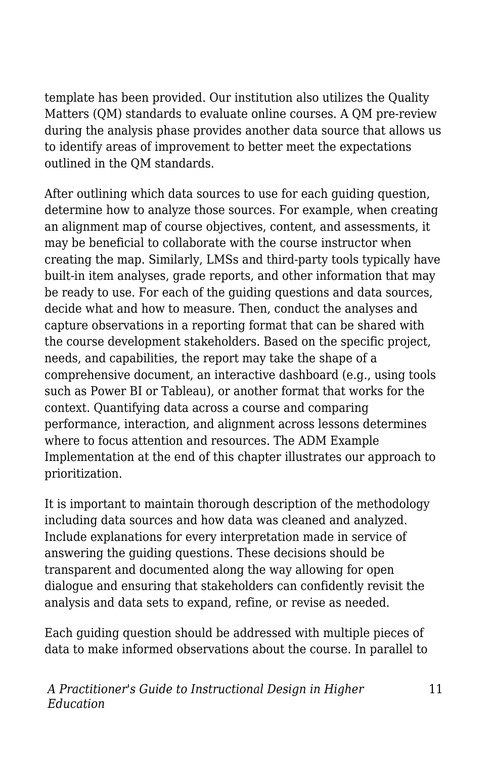template has been provided. Our institution also utilizes the Quality Matters (QM) standards to evaluate online courses. A QM pre-review during the analysis phase provides another data source that allows us to identify areas of improvement to better meet the expectations outlined in the QM standards.

After outlining which data sources to use for each guiding question, determine how to analyze those sources. For example, when creating an alignment map of course objectives, content, and assessments, it may be beneficial to collaborate with the course instructor when creating the map. Similarly, LMSs and third-party tools typically have built-in item analyses, grade reports, and other information that may be ready to use. For each of the guiding questions and data sources, decide what and how to measure. Then, conduct the analyses and capture observations in a reporting format that can be shared with the course development stakeholders. Based on the specific project, needs, and capabilities, the report may take the shape of a comprehensive document, an interactive dashboard (e.g., using tools such as Power BI or Tableau), or another format that works for the context. Quantifying data across a course and comparing performance, interaction, and alignment across lessons determines where to focus attention and resources. The ADM Example Implementation at the end of this chapter illustrates our approach to prioritization.

It is important to maintain thorough description of the methodology including data sources and how data was cleaned and analyzed. Include explanations for every interpretation made in service of answering the guiding questions. These decisions should be transparent and documented along the way allowing for open dialogue and ensuring that stakeholders can confidently revisit the analysis and data sets to expand, refine, or revise as needed.

Each guiding question should be addressed with multiple pieces of data to make informed observations about the course. In parallel to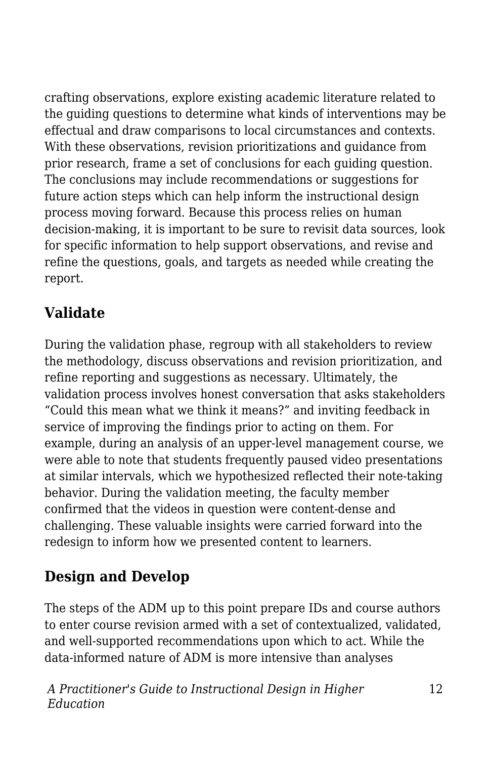crafting observations, explore existing academic literature related to the guiding questions to determine what kinds of interventions may be effectual and draw comparisons to local circumstances and contexts. With these observations, revision prioritizations and guidance from prior research, frame a set of conclusions for each guiding question. The conclusions may include recommendations or suggestions for future action steps which can help inform the instructional design process moving forward. Because this process relies on human decision-making, it is important to be sure to revisit data sources, look for specific information to help support observations, and revise and refine the questions, goals, and targets as needed while creating the report.

# **Validate**

During the validation phase, regroup with all stakeholders to review the methodology, discuss observations and revision prioritization, and refine reporting and suggestions as necessary. Ultimately, the validation process involves honest conversation that asks stakeholders "Could this mean what we think it means?" and inviting feedback in service of improving the findings prior to acting on them. For example, during an analysis of an upper-level management course, we were able to note that students frequently paused video presentations at similar intervals, which we hypothesized reflected their note-taking behavior. During the validation meeting, the faculty member confirmed that the videos in question were content-dense and challenging. These valuable insights were carried forward into the redesign to inform how we presented content to learners.

# **Design and Develop**

The steps of the ADM up to this point prepare IDs and course authors to enter course revision armed with a set of contextualized, validated, and well-supported recommendations upon which to act. While the data-informed nature of ADM is more intensive than analyses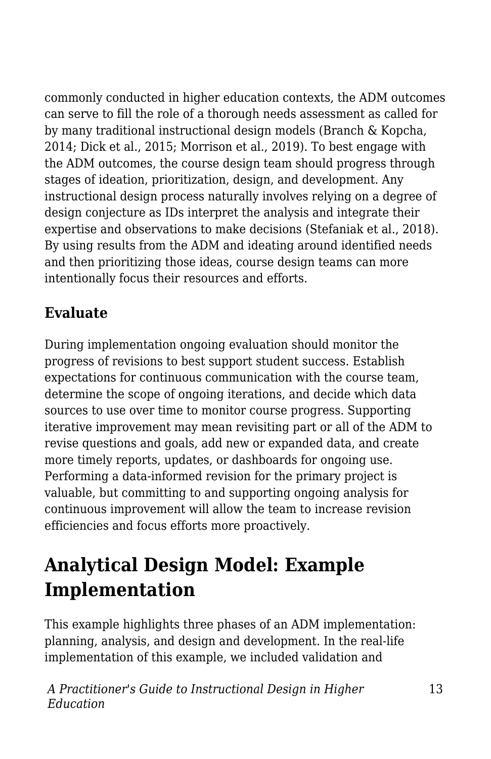commonly conducted in higher education contexts, the ADM outcomes can serve to fill the role of a thorough needs assessment as called for by many traditional instructional design models (Branch & Kopcha, 2014; Dick et al., 2015; Morrison et al., 2019). To best engage with the ADM outcomes, the course design team should progress through stages of ideation, prioritization, design, and development. Any instructional design process naturally involves relying on a degree of design conjecture as IDs interpret the analysis and integrate their expertise and observations to make decisions (Stefaniak et al., 2018). By using results from the ADM and ideating around identified needs and then prioritizing those ideas, course design teams can more intentionally focus their resources and efforts.

# **Evaluate**

During implementation ongoing evaluation should monitor the progress of revisions to best support student success. Establish expectations for continuous communication with the course team, determine the scope of ongoing iterations, and decide which data sources to use over time to monitor course progress. Supporting iterative improvement may mean revisiting part or all of the ADM to revise questions and goals, add new or expanded data, and create more timely reports, updates, or dashboards for ongoing use. Performing a data-informed revision for the primary project is valuable, but committing to and supporting ongoing analysis for continuous improvement will allow the team to increase revision efficiencies and focus efforts more proactively.

# **Analytical Design Model: Example Implementation**

This example highlights three phases of an ADM implementation: planning, analysis, and design and development. In the real-life implementation of this example, we included validation and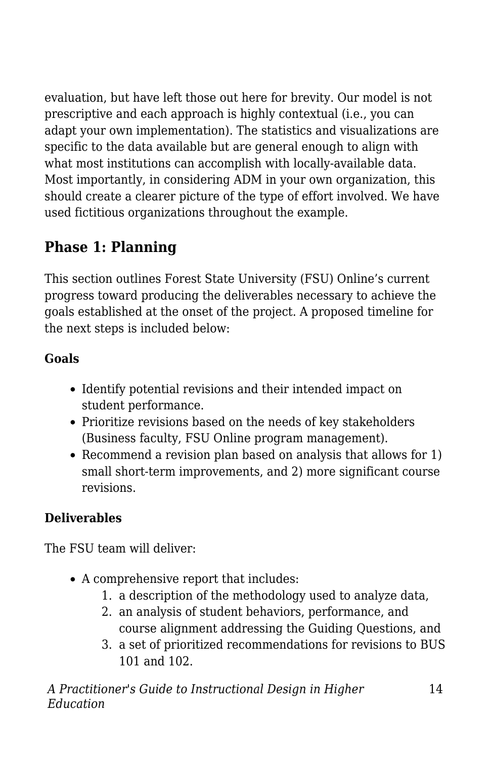evaluation, but have left those out here for brevity. Our model is not prescriptive and each approach is highly contextual (i.e., you can adapt your own implementation). The statistics and visualizations are specific to the data available but are general enough to align with what most institutions can accomplish with locally-available data. Most importantly, in considering ADM in your own organization, this should create a clearer picture of the type of effort involved. We have used fictitious organizations throughout the example.

# **Phase 1: Planning**

This section outlines Forest State University (FSU) Online's current progress toward producing the deliverables necessary to achieve the goals established at the onset of the project. A proposed timeline for the next steps is included below:

# **Goals**

- Identify potential revisions and their intended impact on student performance.
- Prioritize revisions based on the needs of key stakeholders (Business faculty, FSU Online program management).
- Recommend a revision plan based on analysis that allows for 1) small short-term improvements, and 2) more significant course revisions.

# **Deliverables**

The FSU team will deliver:

- A comprehensive report that includes:
	- 1. a description of the methodology used to analyze data,
	- 2. an analysis of student behaviors, performance, and course alignment addressing the Guiding Questions, and
	- 3. a set of prioritized recommendations for revisions to BUS 101 and 102.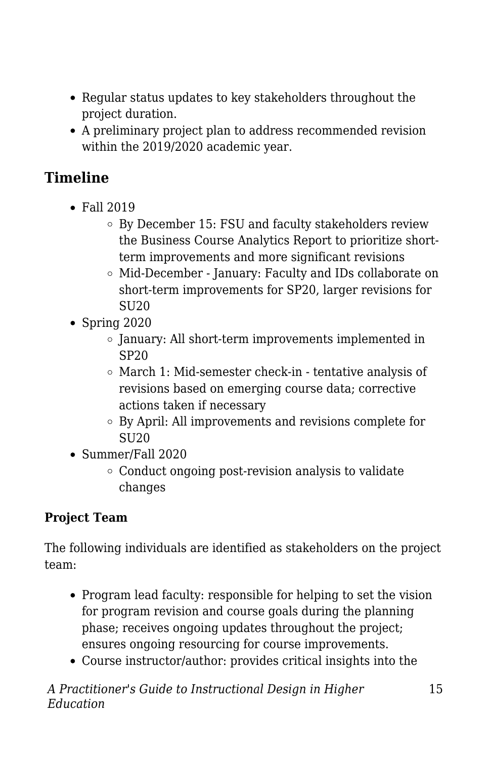- Regular status updates to key stakeholders throughout the project duration.
- A preliminary project plan to address recommended revision within the 2019/2020 academic year.

# **Timeline**

- Fall 2019
	- By December 15: FSU and faculty stakeholders review the Business Course Analytics Report to prioritize shortterm improvements and more significant revisions
	- Mid-December January: Faculty and IDs collaborate on short-term improvements for SP20, larger revisions for SU20
- $\bullet$  Spring 2020
	- $\circ$  January: All short-term improvements implemented in SP20
	- March 1: Mid-semester check-in tentative analysis of revisions based on emerging course data; corrective actions taken if necessary
	- By April: All improvements and revisions complete for SU<sub>20</sub>
- Summer/Fall 2020
	- Conduct ongoing post-revision analysis to validate changes

# **Project Team**

The following individuals are identified as stakeholders on the project team:

- Program lead faculty: responsible for helping to set the vision for program revision and course goals during the planning phase; receives ongoing updates throughout the project; ensures ongoing resourcing for course improvements.
- Course instructor/author: provides critical insights into the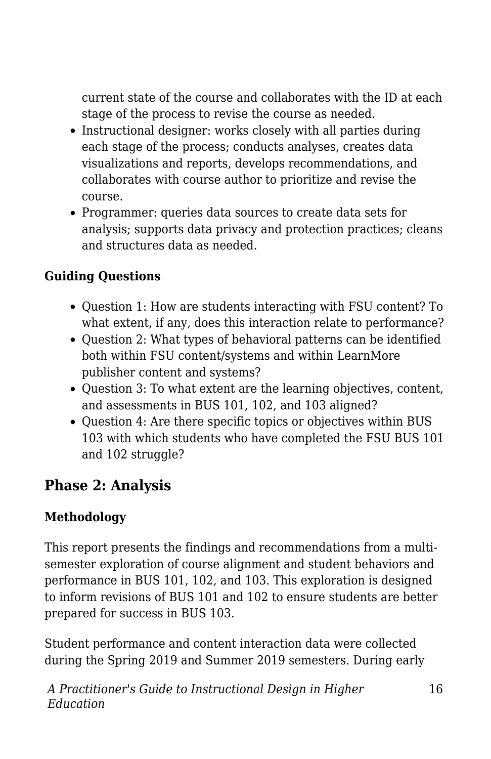current state of the course and collaborates with the ID at each stage of the process to revise the course as needed.

- Instructional designer: works closely with all parties during each stage of the process; conducts analyses, creates data visualizations and reports, develops recommendations, and collaborates with course author to prioritize and revise the course.
- Programmer: queries data sources to create data sets for analysis; supports data privacy and protection practices; cleans and structures data as needed.

## **Guiding Questions**

- Question 1: How are students interacting with FSU content? To what extent, if any, does this interaction relate to performance?
- Question 2: What types of behavioral patterns can be identified both within FSU content/systems and within LearnMore publisher content and systems?
- Question 3: To what extent are the learning objectives, content, and assessments in BUS 101, 102, and 103 aligned?
- Question 4: Are there specific topics or objectives within BUS 103 with which students who have completed the FSU BUS 101 and 102 struggle?

## **Phase 2: Analysis**

### **Methodology**

This report presents the findings and recommendations from a multisemester exploration of course alignment and student behaviors and performance in BUS 101, 102, and 103. This exploration is designed to inform revisions of BUS 101 and 102 to ensure students are better prepared for success in BUS 103.

Student performance and content interaction data were collected during the Spring 2019 and Summer 2019 semesters. During early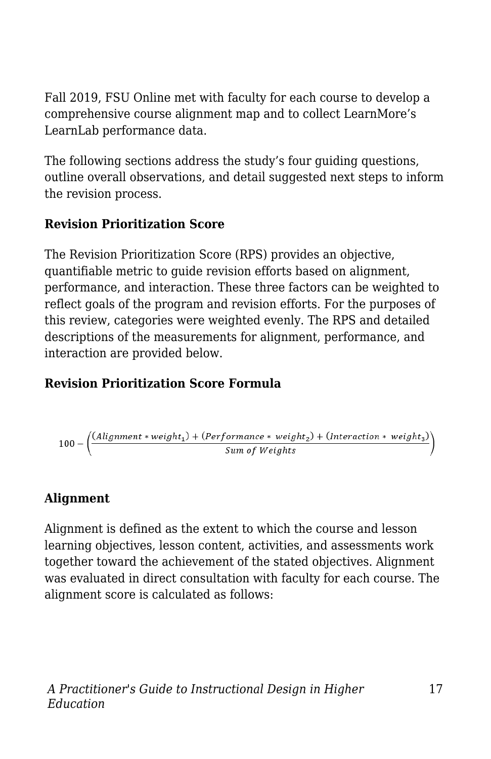Fall 2019, FSU Online met with faculty for each course to develop a comprehensive course alignment map and to collect LearnMore's LearnLab performance data.

The following sections address the study's four guiding questions, outline overall observations, and detail suggested next steps to inform the revision process.

### **Revision Prioritization Score**

The Revision Prioritization Score (RPS) provides an objective, quantifiable metric to guide revision efforts based on alignment, performance, and interaction. These three factors can be weighted to reflect goals of the program and revision efforts. For the purposes of this review, categories were weighted evenly. The RPS and detailed descriptions of the measurements for alignment, performance, and interaction are provided below.

## **Revision Prioritization Score Formula**

$$
100 - \left(\frac{(Alig {\it memt*weight}_1) + (Performance * weight_2) + (Interaction * weight_3)}{Sum \ of \ Weights}\right)
$$

## **Alignment**

Alignment is defined as the extent to which the course and lesson learning objectives, lesson content, activities, and assessments work together toward the achievement of the stated objectives. Alignment was evaluated in direct consultation with faculty for each course. The alignment score is calculated as follows: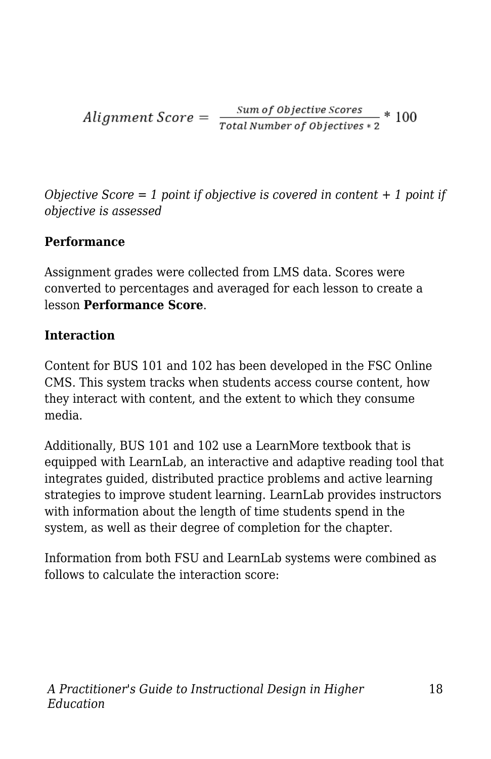$$
Algorithment Score = \frac{Sum of Objective scores}{Total Number of Objectives * 2} * 100
$$

*Objective Score = 1 point if objective is covered in content + 1 point if objective is assessed*

### **Performance**

Assignment grades were collected from LMS data. Scores were converted to percentages and averaged for each lesson to create a lesson **Performance Score**.

### **Interaction**

Content for BUS 101 and 102 has been developed in the FSC Online CMS. This system tracks when students access course content, how they interact with content, and the extent to which they consume media.

Additionally, BUS 101 and 102 use a LearnMore textbook that is equipped with LearnLab, an interactive and adaptive reading tool that integrates guided, distributed practice problems and active learning strategies to improve student learning. LearnLab provides instructors with information about the length of time students spend in the system, as well as their degree of completion for the chapter.

Information from both FSU and LearnLab systems were combined as follows to calculate the interaction score: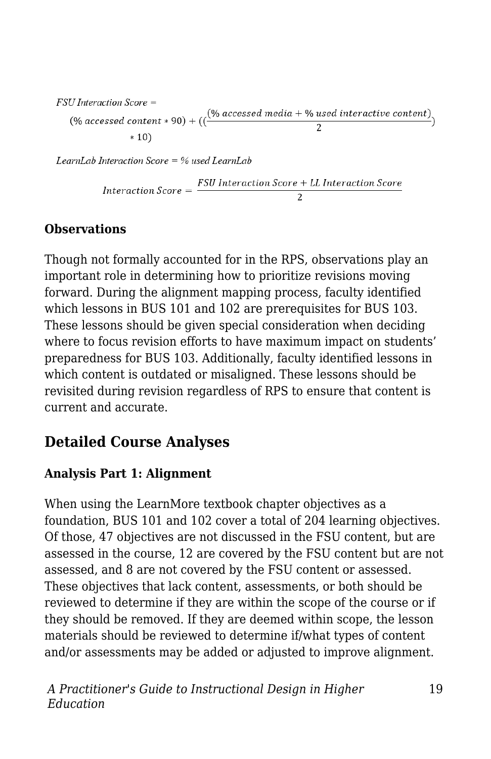FSU Interaction Score =  $(\%$  accessed content \* 90) + (( $\frac{(\%$  accessed media + % used interactive content))  $*10)$ 

LearnLab Interaction Score =  $%$  used LearnLab

$$
Interaction\ Score = \frac{FSU\ interaction\ Score + LL\ interaction\ Score}{2}
$$

#### **Observations**

Though not formally accounted for in the RPS, observations play an important role in determining how to prioritize revisions moving forward. During the alignment mapping process, faculty identified which lessons in BUS 101 and 102 are prerequisites for BUS 103. These lessons should be given special consideration when deciding where to focus revision efforts to have maximum impact on students' preparedness for BUS 103. Additionally, faculty identified lessons in which content is outdated or misaligned. These lessons should be revisited during revision regardless of RPS to ensure that content is current and accurate.

## **Detailed Course Analyses**

#### **Analysis Part 1: Alignment**

When using the LearnMore textbook chapter objectives as a foundation, BUS 101 and 102 cover a total of 204 learning objectives. Of those, 47 objectives are not discussed in the FSU content, but are assessed in the course, 12 are covered by the FSU content but are not assessed, and 8 are not covered by the FSU content or assessed. These objectives that lack content, assessments, or both should be reviewed to determine if they are within the scope of the course or if they should be removed. If they are deemed within scope, the lesson materials should be reviewed to determine if/what types of content and/or assessments may be added or adjusted to improve alignment.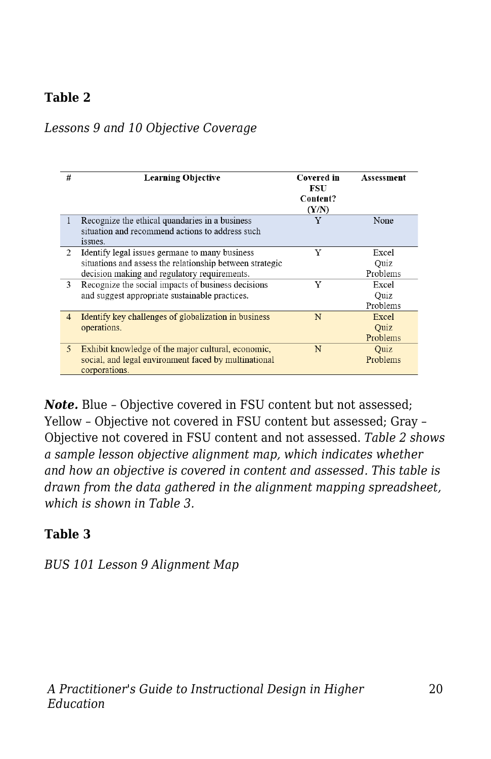### **Table 2**

#### *Lessons 9 and 10 Objective Coverage*

| #              | <b>Learning Objective</b>                                                                                                                                  | Covered in<br>FSU<br>Content?<br>(Y/N) | Assessment                |
|----------------|------------------------------------------------------------------------------------------------------------------------------------------------------------|----------------------------------------|---------------------------|
| 1              | Recognize the ethical quandaries in a business<br>situation and recommend actions to address such<br>issues.                                               | Y                                      | None                      |
| $\overline{2}$ | Identify legal issues germane to many business<br>situations and assess the relationship between strategic<br>decision making and regulatory requirements. | Y                                      | Excel<br>Quiz<br>Problems |
| 3              | Recognize the social impacts of business decisions<br>and suggest appropriate sustainable practices.                                                       | Y                                      | Excel<br>Ouiz<br>Problems |
| $\overline{4}$ | Identify key challenges of globalization in business<br>operations.                                                                                        | N                                      | Excel<br>Quiz<br>Problems |
| 5              | Exhibit knowledge of the major cultural, economic,<br>social, and legal environment faced by multinational<br>corporations.                                | N                                      | Quiz<br>Problems          |

*Note.* Blue – Objective covered in FSU content but not assessed; Yellow – Objective not covered in FSU content but assessed; Gray – Objective not covered in FSU content and not assessed. *Table 2 shows a sample lesson objective alignment map, which indicates whether and how an objective is covered in content and assessed. This table is drawn from the data gathered in the alignment mapping spreadsheet, which is shown in Table 3.*

#### **Table 3**

*BUS 101 Lesson 9 Alignment Map*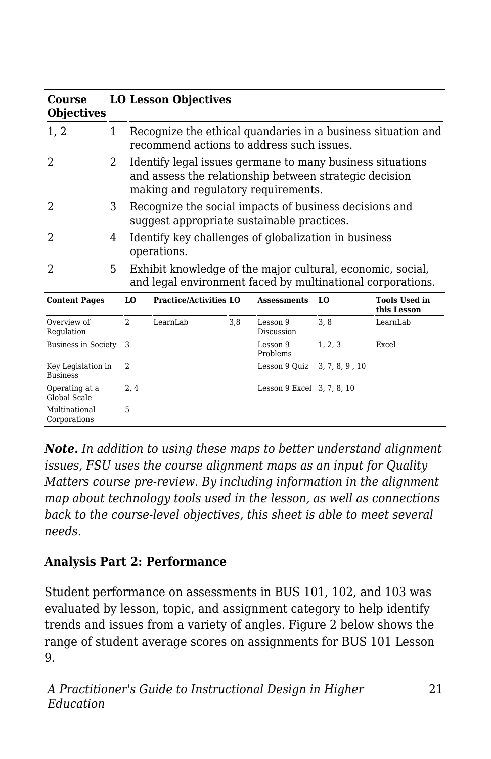| Course<br><b>Objectives</b>           |              | <b>LO Lesson Objectives</b>                                                                                                                                |                               |                            |                |                                     |  |
|---------------------------------------|--------------|------------------------------------------------------------------------------------------------------------------------------------------------------------|-------------------------------|----------------------------|----------------|-------------------------------------|--|
| 1, 2                                  | $\mathbf{1}$ | Recognize the ethical quandaries in a business situation and<br>recommend actions to address such issues.                                                  |                               |                            |                |                                     |  |
| 2                                     | 2            | Identify legal issues germane to many business situations<br>and assess the relationship between strategic decision<br>making and regulatory requirements. |                               |                            |                |                                     |  |
| 2                                     | 3            | Recognize the social impacts of business decisions and<br>suggest appropriate sustainable practices.                                                       |                               |                            |                |                                     |  |
| 2                                     | 4            | Identify key challenges of globalization in business<br>operations.                                                                                        |                               |                            |                |                                     |  |
| 2                                     | 5.           | Exhibit knowledge of the major cultural, economic, social,<br>and legal environment faced by multinational corporations.                                   |                               |                            |                |                                     |  |
| <b>Content Pages</b>                  |              | LO                                                                                                                                                         | <b>Practice/Activities LO</b> | <b>Assessments</b>         | LO             | <b>Tools Used in</b><br>this Lesson |  |
| Overview of<br>Regulation             |              | $\overline{2}$<br>LearnLab                                                                                                                                 | 3.8                           | Lesson 9<br>Discussion     | 3.8            | LearnLab                            |  |
| <b>Business in Society</b>            |              | 3                                                                                                                                                          |                               | Lesson 9<br>Problems       | 1, 2, 3        | Excel                               |  |
| Key Legislation in<br><b>Business</b> |              | $\overline{\mathcal{L}}$                                                                                                                                   |                               | Lesson 9 Quiz              | 3, 7, 8, 9, 10 |                                     |  |
| Operating at a<br>Global Scale        |              | 2,4                                                                                                                                                        |                               | Lesson 9 Excel 3, 7, 8, 10 |                |                                     |  |
| Multinational<br>Corporations         |              | 5                                                                                                                                                          |                               |                            |                |                                     |  |

*Note. In addition to using these maps to better understand alignment issues, FSU uses the course alignment maps as an input for Quality Matters course pre-review. By including information in the alignment map about technology tools used in the lesson, as well as connections back to the course-level objectives, this sheet is able to meet several needs.*

### **Analysis Part 2: Performance**

Student performance on assessments in BUS 101, 102, and 103 was evaluated by lesson, topic, and assignment category to help identify trends and issues from a variety of angles. Figure 2 below shows the range of student average scores on assignments for BUS 101 Lesson 9.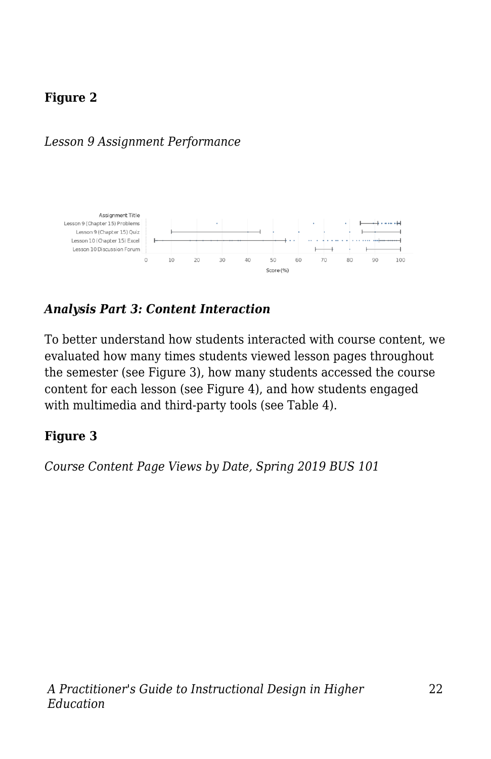## **Figure 2**

### *Lesson 9 Assignment Performance*



### *Analysis Part 3: Content Interaction*

To better understand how students interacted with course content, we evaluated how many times students viewed lesson pages throughout the semester (see Figure 3), how many students accessed the course content for each lesson (see Figure 4), and how students engaged with multimedia and third-party tools (see Table 4).

#### **Figure 3**

*Course Content Page Views by Date, Spring 2019 BUS 101*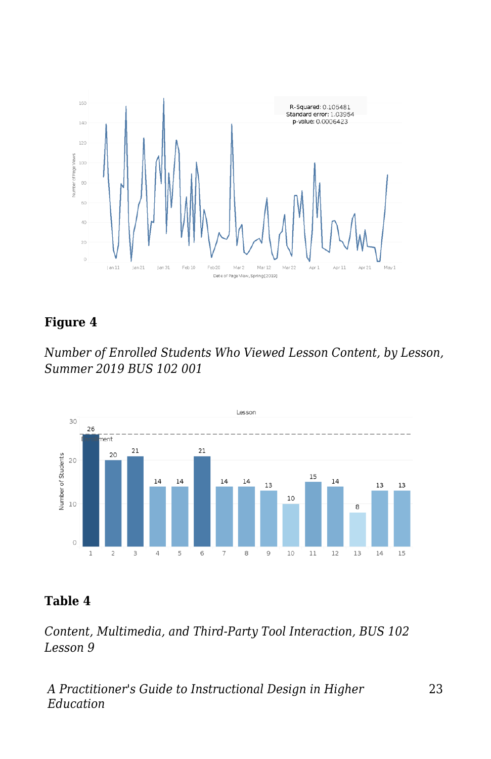

### **Figure 4**

*Number of Enrolled Students Who Viewed Lesson Content, by Lesson, Summer 2019 BUS 102 001*



### **Table 4**

*Content, Multimedia, and Third-Party Tool Interaction, BUS 102 Lesson 9*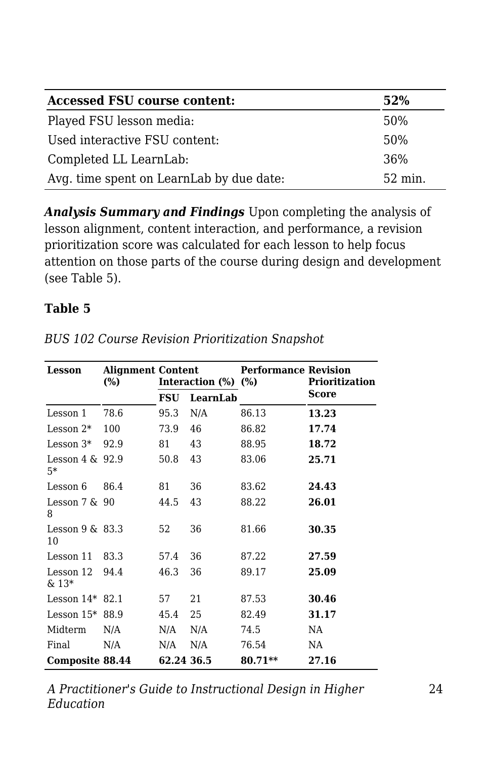| <b>Accessed FSU course content:</b>      | 52%     |
|------------------------------------------|---------|
| Played FSU lesson media:                 | 50%     |
| Used interactive FSU content:            | 50%     |
| Completed LL LearnLab:                   | 36%     |
| Avg. time spent on LearnLab by due date: | 52 min. |

*Analysis Summary and Findings* Upon completing the analysis of lesson alignment, content interaction, and performance, a revision prioritization score was calculated for each lesson to help focus attention on those parts of the course during design and development (see Table 5).

#### **Table 5**

| Lesson                     | <b>Alignment Content</b><br>(%) | Interaction (%) |          | <b>Performance Revision</b><br>(%) | Prioritization |
|----------------------------|---------------------------------|-----------------|----------|------------------------------------|----------------|
|                            |                                 | FSU             | LearnLab |                                    | Score          |
| Lesson 1                   | 78.6                            | 95.3            | N/A      | 86.13                              | 13.23          |
| Lesson 2*                  | 100                             | 73.9            | 46       | 86.82                              | 17.74          |
| Lesson $3*$                | 92.9                            | 81              | 43       | 88.95                              | 18.72          |
| Lesson $4 \& 92.9$<br>$5*$ |                                 | 50.8            | 43       | 83.06                              | 25.71          |
| Lesson 6                   | 86.4                            | 81              | 36       | 83.62                              | 24.43          |
| Lesson $7 & 90$<br>8       |                                 | 44.5            | 43       | 88.22                              | 26.01          |
| Lesson $9 \& 83.3$<br>10   |                                 | 52              | 36       | 81.66                              | 30.35          |
| Lesson 11                  | 83.3                            | 57.4            | 36       | 87.22                              | 27.59          |
| Lesson 12<br>& 13*         | 94.4                            | 46.3            | 36       | 89.17                              | 25.09          |
| Lesson $14*$ 82.1          |                                 | 57              | 21       | 87.53                              | 30.46          |
| Lesson $15*88.9$           |                                 | 45.4            | 25       | 82.49                              | 31.17          |
| Midterm                    | N/A                             | N/A             | N/A      | 74.5                               | NA             |
| Final                      | N/A                             | N/A             | N/A      | 76.54                              | NA             |
| Composite 88.44            |                                 | 62.24 36.5      |          | 80.71**                            | 27.16          |

*BUS 102 Course Revision Prioritization Snapshot*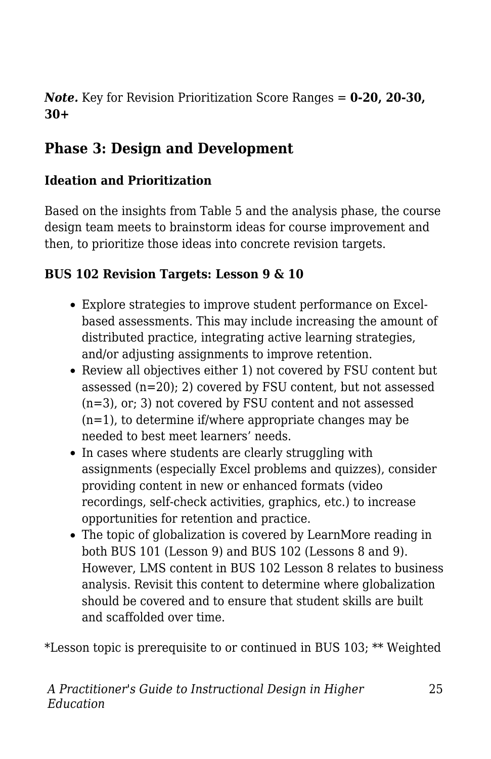*Note.* Key for Revision Prioritization Score Ranges = **0-20, 20-30, 30+**

# **Phase 3: Design and Development**

### **Ideation and Prioritization**

Based on the insights from Table 5 and the analysis phase, the course design team meets to brainstorm ideas for course improvement and then, to prioritize those ideas into concrete revision targets.

### **BUS 102 Revision Targets: Lesson 9 & 10**

- Explore strategies to improve student performance on Excelbased assessments. This may include increasing the amount of distributed practice, integrating active learning strategies, and/or adjusting assignments to improve retention.
- Review all objectives either 1) not covered by FSU content but assessed (n=20); 2) covered by FSU content, but not assessed (n=3), or; 3) not covered by FSU content and not assessed (n=1), to determine if/where appropriate changes may be needed to best meet learners' needs.
- In cases where students are clearly struggling with assignments (especially Excel problems and quizzes), consider providing content in new or enhanced formats (video recordings, self-check activities, graphics, etc.) to increase opportunities for retention and practice.
- The topic of globalization is covered by LearnMore reading in both BUS 101 (Lesson 9) and BUS 102 (Lessons 8 and 9). However, LMS content in BUS 102 Lesson 8 relates to business analysis. Revisit this content to determine where globalization should be covered and to ensure that student skills are built and scaffolded over time.

\*Lesson topic is prerequisite to or continued in BUS 103; \*\* Weighted

25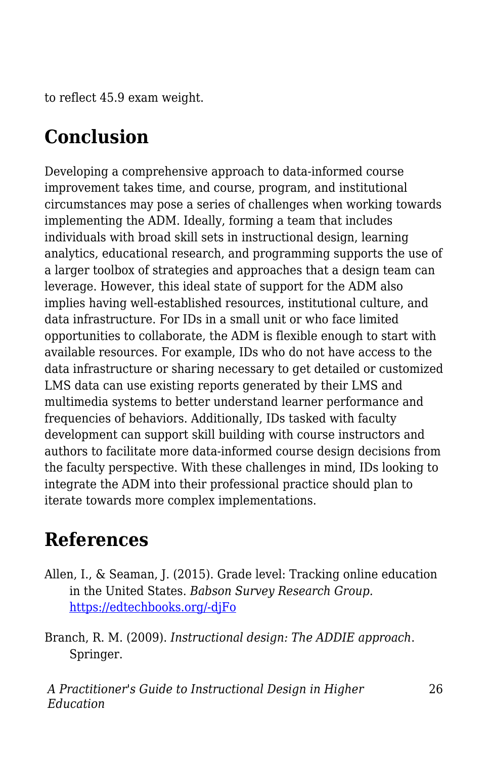to reflect 45.9 exam weight.

# **Conclusion**

Developing a comprehensive approach to data-informed course improvement takes time, and course, program, and institutional circumstances may pose a series of challenges when working towards implementing the ADM. Ideally, forming a team that includes individuals with broad skill sets in instructional design, learning analytics, educational research, and programming supports the use of a larger toolbox of strategies and approaches that a design team can leverage. However, this ideal state of support for the ADM also implies having well-established resources, institutional culture, and data infrastructure. For IDs in a small unit or who face limited opportunities to collaborate, the ADM is flexible enough to start with available resources. For example, IDs who do not have access to the data infrastructure or sharing necessary to get detailed or customized LMS data can use existing reports generated by their LMS and multimedia systems to better understand learner performance and frequencies of behaviors. Additionally, IDs tasked with faculty development can support skill building with course instructors and authors to facilitate more data-informed course design decisions from the faculty perspective. With these challenges in mind, IDs looking to integrate the ADM into their professional practice should plan to iterate towards more complex implementations.

# **References**

Allen, I., & Seaman, J. (2015). Grade level: Tracking online education in the United States. *Babson Survey Research Group.* [https://edtechbooks.org/-djFo](https://onlinelearningconsortium.org/read/online-report-card-tracking-online-education-united-states-2015/)

Branch, R. M. (2009). *Instructional design: The ADDIE approach*. Springer.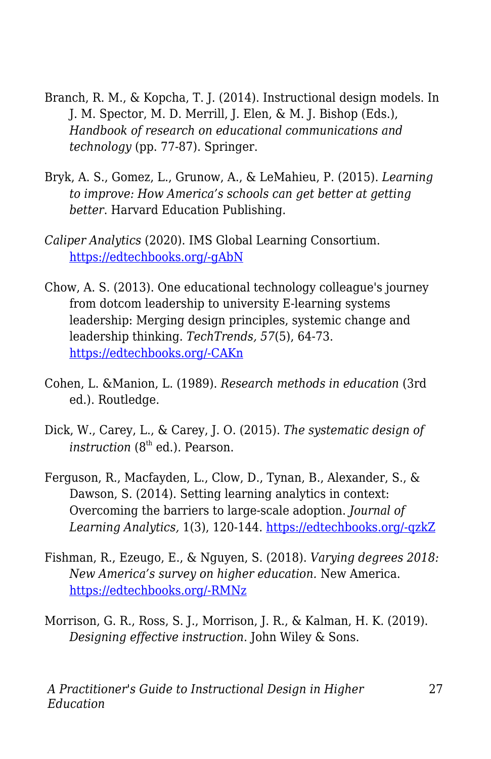- Branch, R. M., & Kopcha, T. J. (2014). Instructional design models. In J. M. Spector, M. D. Merrill, J. Elen, & M. J. Bishop (Eds.), *Handbook of research on educational communications and technology* (pp. 77-87). Springer.
- Bryk, A. S., Gomez, L., Grunow, A., & LeMahieu, P. (2015). *Learning to improve: How America's schools can get better at getting better*. Harvard Education Publishing.
- *Caliper Analytics* (2020). IMS Global Learning Consortium. [https://edtechbooks.org/-gAbN](http://www.imsglobal.org/activity/caliper)
- Chow, A. S. (2013). One educational technology colleague's journey from dotcom leadership to university E-learning systems leadership: Merging design principles, systemic change and leadership thinking. *TechTrends, 57*(5), 64-73. [https://edtechbooks.org/-CAKn](https://doi.org/10.1007/s11528-013-0693-6)
- Cohen, L. &Manion, L. (1989). *Research methods in education* (3rd ed.). Routledge.
- Dick, W., Carey, L., & Carey, J. O. (2015). *The systematic design of instruction* (8<sup>th</sup> ed.). Pearson.
- Ferguson, R., Macfayden, L., Clow, D., Tynan, B., Alexander, S., & Dawson, S. (2014). Setting learning analytics in context: Overcoming the barriers to large-scale adoption. *Journal of Learning Analytics,* 1(3), 120-144. [https://edtechbooks.org/-qzkZ](https://doi.org/10.18608/jla.2014.13.7%20)
- Fishman, R., Ezeugo, E., & Nguyen, S. (2018). *Varying degrees 2018: New America's survey on higher education.* New America. [https://edtechbooks.org/-RMNz](https://www.newamerica.org/education-policy/reports/varying-degrees-2018/)
- Morrison, G. R., Ross, S. J., Morrison, J. R., & Kalman, H. K. (2019). *Designing effective instruction*. John Wiley & Sons.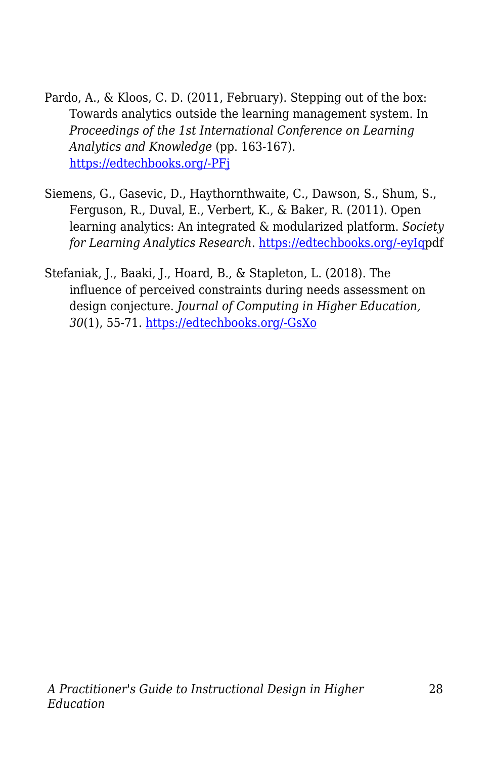- Pardo, A., & Kloos, C. D. (2011, February). Stepping out of the box: Towards analytics outside the learning management system. In *Proceedings of the 1st International Conference on Learning Analytics and Knowledge* (pp. 163-167). [https://edtechbooks.org/-PFj](https://doi.org/10.1145/2090116.2090142)
- Siemens, G., Gasevic, D., Haythornthwaite, C., Dawson, S., Shum, S., Ferguson, R., Duval, E., Verbert, K., & Baker, R. (2011). Open learning analytics: An integrated & modularized platform. *Society for Learning Analytics Research*. [https://edtechbooks.org/-eyIqp](https://solaresearch.org/wp-content/uploads/2011/12/OpenLearningAnalytics.pdf)df
- Stefaniak, J., Baaki, J., Hoard, B., & Stapleton, L. (2018). The influence of perceived constraints during needs assessment on design conjecture. *Journal of Computing in Higher Education, 30*(1), 55-71. [https://edtechbooks.org/-GsXo](http://dx.doi.org/10.1007/s12528-018-9173-5)